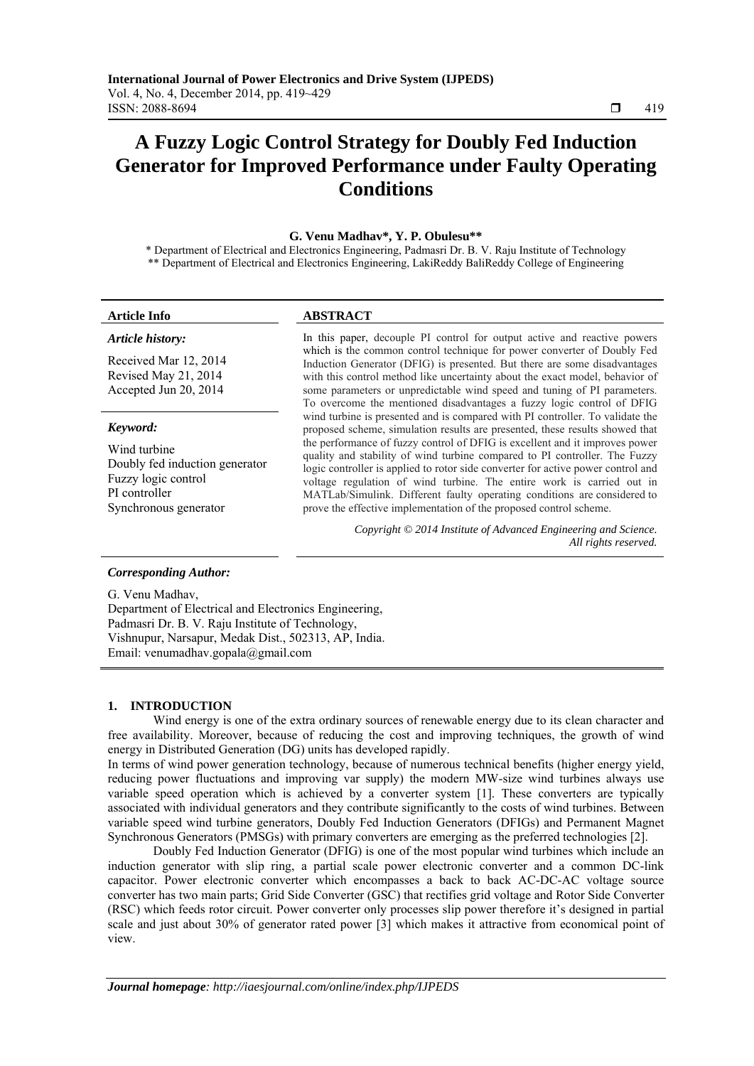# **A Fuzzy Logic Control Strategy for Doubly Fed Induction Generator for Improved Performance under Faulty Operating Conditions**

#### **G. Venu Madhav\*, Y. P. Obulesu\*\***

\* Department of Electrical and Electronics Engineering, Padmasri Dr. B. V. Raju Institute of Technology \*\* Department of Electrical and Electronics Engineering, LakiReddy BaliReddy College of Engineering

## **Article Info ABSTRACT**

#### *Article history:*

Received Mar 12, 2014 Revised May 21, 2014 Accepted Jun 20, 2014

#### *Keyword:*

Wind turbine Doubly fed induction generator Fuzzy logic control PI controller Synchronous generator

In this paper, decouple PI control for output active and reactive powers which is the common control technique for power converter of Doubly Fed Induction Generator (DFIG) is presented. But there are some disadvantages with this control method like uncertainty about the exact model, behavior of some parameters or unpredictable wind speed and tuning of PI parameters. To overcome the mentioned disadvantages a fuzzy logic control of DFIG wind turbine is presented and is compared with PI controller. To validate the proposed scheme, simulation results are presented, these results showed that the performance of fuzzy control of DFIG is excellent and it improves power quality and stability of wind turbine compared to PI controller. The Fuzzy logic controller is applied to rotor side converter for active power control and voltage regulation of wind turbine. The entire work is carried out in MATLab/Simulink. Different faulty operating conditions are considered to prove the effective implementation of the proposed control scheme.

> *Copyright © 2014 Institute of Advanced Engineering and Science. All rights reserved.*

#### *Corresponding Author:*

G. Venu Madhav, Department of Electrical and Electronics Engineering, Padmasri Dr. B. V. Raju Institute of Technology, Vishnupur, Narsapur, Medak Dist., 502313, AP, India. Email: venumadhav.gopala@gmail.com

#### **1. INTRODUCTION**

Wind energy is one of the extra ordinary sources of renewable energy due to its clean character and free availability. Moreover, because of reducing the cost and improving techniques, the growth of wind energy in Distributed Generation (DG) units has developed rapidly.

In terms of wind power generation technology, because of numerous technical benefits (higher energy yield, reducing power fluctuations and improving var supply) the modern MW-size wind turbines always use variable speed operation which is achieved by a converter system [1]. These converters are typically associated with individual generators and they contribute significantly to the costs of wind turbines. Between variable speed wind turbine generators, Doubly Fed Induction Generators (DFIGs) and Permanent Magnet Synchronous Generators (PMSGs) with primary converters are emerging as the preferred technologies [2].

Doubly Fed Induction Generator (DFIG) is one of the most popular wind turbines which include an induction generator with slip ring, a partial scale power electronic converter and a common DC-link capacitor. Power electronic converter which encompasses a back to back AC-DC-AC voltage source converter has two main parts; Grid Side Converter (GSC) that rectifies grid voltage and Rotor Side Converter (RSC) which feeds rotor circuit. Power converter only processes slip power therefore it's designed in partial scale and just about 30% of generator rated power [3] which makes it attractive from economical point of view.

ֺֺ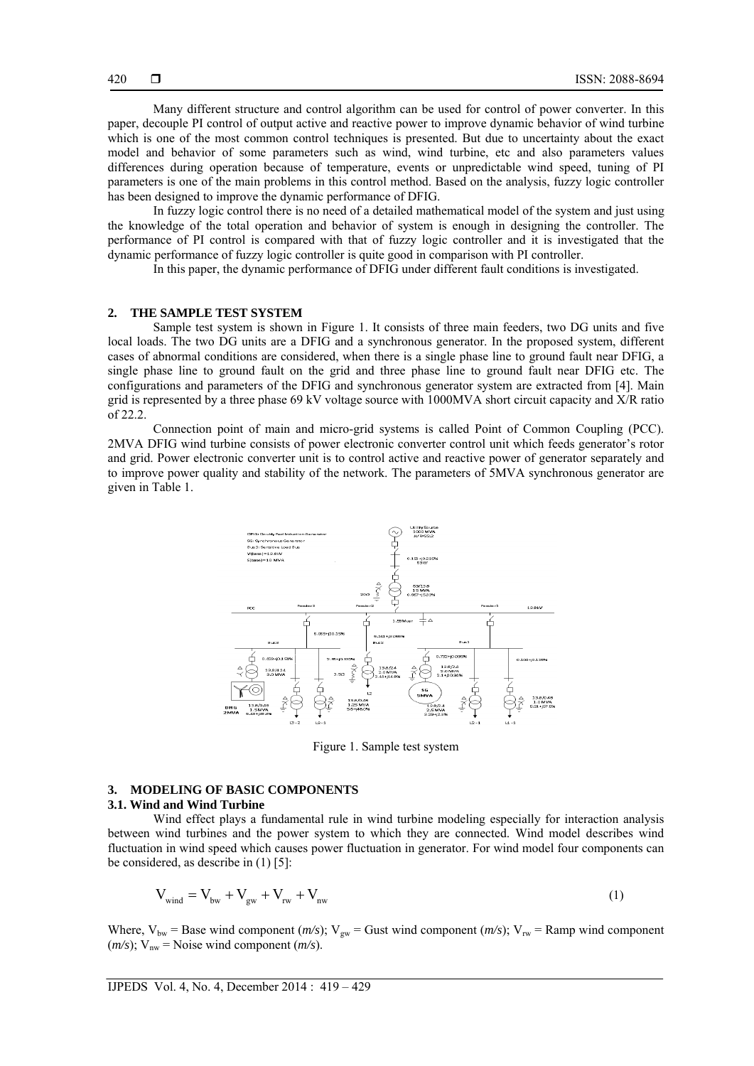Many different structure and control algorithm can be used for control of power converter. In this paper, decouple PI control of output active and reactive power to improve dynamic behavior of wind turbine which is one of the most common control techniques is presented. But due to uncertainty about the exact model and behavior of some parameters such as wind, wind turbine, etc and also parameters values differences during operation because of temperature, events or unpredictable wind speed, tuning of PI parameters is one of the main problems in this control method. Based on the analysis, fuzzy logic controller has been designed to improve the dynamic performance of DFIG.

In fuzzy logic control there is no need of a detailed mathematical model of the system and just using the knowledge of the total operation and behavior of system is enough in designing the controller. The performance of PI control is compared with that of fuzzy logic controller and it is investigated that the dynamic performance of fuzzy logic controller is quite good in comparison with PI controller.

In this paper, the dynamic performance of DFIG under different fault conditions is investigated.

## **2. THE SAMPLE TEST SYSTEM**

Sample test system is shown in Figure 1. It consists of three main feeders, two DG units and five local loads. The two DG units are a DFIG and a synchronous generator. In the proposed system, different cases of abnormal conditions are considered, when there is a single phase line to ground fault near DFIG, a single phase line to ground fault on the grid and three phase line to ground fault near DFIG etc. The configurations and parameters of the DFIG and synchronous generator system are extracted from [4]. Main grid is represented by a three phase 69 kV voltage source with 1000MVA short circuit capacity and X/R ratio of 22.2.

Connection point of main and micro-grid systems is called Point of Common Coupling (PCC). 2MVA DFIG wind turbine consists of power electronic converter control unit which feeds generator's rotor and grid. Power electronic converter unit is to control active and reactive power of generator separately and to improve power quality and stability of the network. The parameters of 5MVA synchronous generator are given in Table 1.



Figure 1. Sample test system

# **3. MODELING OF BASIC COMPONENTS**

#### **3.1. Wind and Wind Turbine**

Wind effect plays a fundamental rule in wind turbine modeling especially for interaction analysis between wind turbines and the power system to which they are connected. Wind model describes wind fluctuation in wind speed which causes power fluctuation in generator. For wind model four components can be considered, as describe in (1) [5]:

$$
V_{wind} = V_{bw} + V_{gw} + V_{rw} + V_{nw}
$$
\n
$$
\tag{1}
$$

Where,  $V_{bw}$  = Base wind component  $(m/s)$ ;  $V_{gw}$  = Gust wind component  $(m/s)$ ;  $V_{rw}$  = Ramp wind component  $(m/s)$ ; V<sub>nw</sub> = Noise wind component  $(m/s)$ .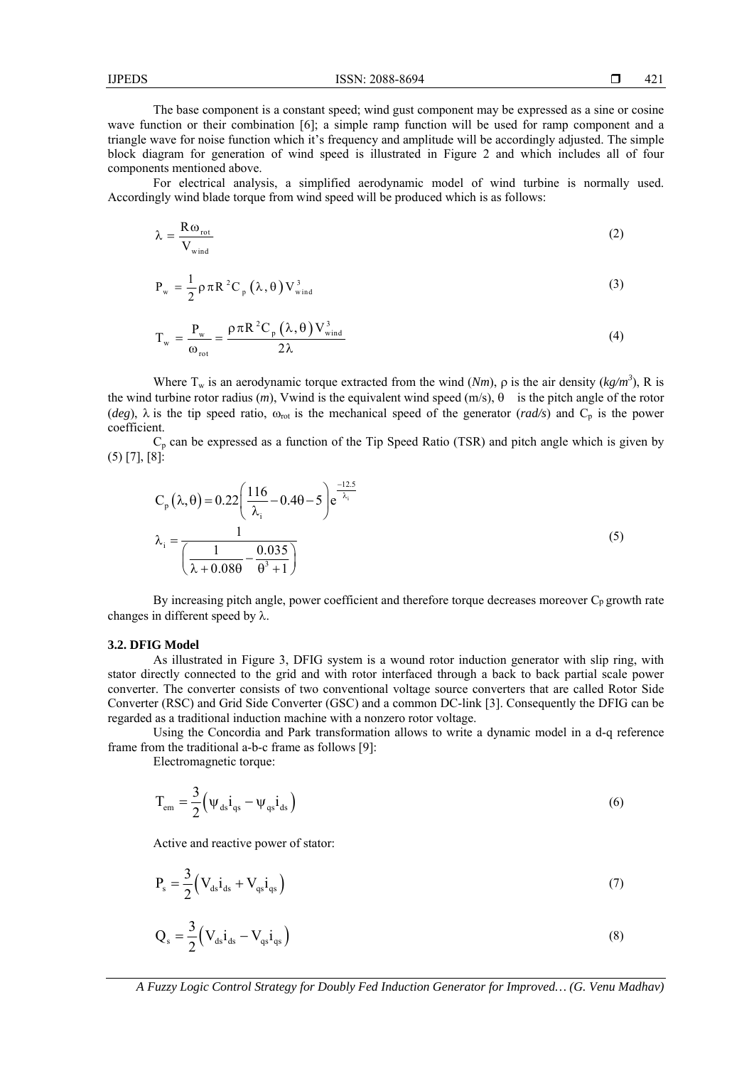The base component is a constant speed; wind gust component may be expressed as a sine or cosine wave function or their combination [6]; a simple ramp function will be used for ramp component and a triangle wave for noise function which it's frequency and amplitude will be accordingly adjusted. The simple block diagram for generation of wind speed is illustrated in Figure 2 and which includes all of four components mentioned above.

For electrical analysis, a simplified aerodynamic model of wind turbine is normally used. Accordingly wind blade torque from wind speed will be produced which is as follows:

$$
\lambda = \frac{\text{R}\omega_{\text{rot}}}{V_{\text{wind}}}
$$
 (2)

$$
P_{w} = \frac{1}{2} \rho \pi R^{2} C_{p} (\lambda, \theta) V_{wind}^{3}
$$
 (3)

$$
T_{w} = \frac{P_{w}}{\omega_{\text{rot}}} = \frac{\rho \pi R^{2} C_{p} (\lambda, \theta) V_{wind}^{3}}{2\lambda}
$$
 (4)

Where T<sub>w</sub> is an aerodynamic torque extracted from the wind  $(Nm)$ ,  $\rho$  is the air density ( $kg/m<sup>3</sup>$ ), R is the wind turbine rotor radius  $(m)$ , Vwind is the equivalent wind speed  $(m/s)$ ,  $\theta$  is the pitch angle of the rotor (*deg*),  $\lambda$  is the tip speed ratio,  $\omega_{\text{rot}}$  is the mechanical speed of the generator (*rad/s*) and C<sub>p</sub> is the power coefficient.

 $C_p$  can be expressed as a function of the Tip Speed Ratio (TSR) and pitch angle which is given by (5) [7], [8]:

$$
C_p(\lambda, \theta) = 0.22 \left( \frac{116}{\lambda_i} - 0.4\theta - 5 \right) e^{-\frac{12.5}{\lambda_i}}
$$
  

$$
\lambda_i = \frac{1}{\left( \frac{1}{\lambda + 0.08\theta} - \frac{0.035}{\theta^3 + 1} \right)}
$$
 (5)

By increasing pitch angle, power coefficient and therefore torque decreases moreover  $C_p$  growth rate changes in different speed by  $\lambda$ .

#### **3.2. DFIG Model**

As illustrated in Figure 3, DFIG system is a wound rotor induction generator with slip ring, with stator directly connected to the grid and with rotor interfaced through a back to back partial scale power converter. The converter consists of two conventional voltage source converters that are called Rotor Side Converter (RSC) and Grid Side Converter (GSC) and a common DC-link [3]. Consequently the DFIG can be regarded as a traditional induction machine with a nonzero rotor voltage.

Using the Concordia and Park transformation allows to write a dynamic model in a d-q reference frame from the traditional a-b-c frame as follows [9]:

Electromagnetic torque:

$$
T_{em} = \frac{3}{2} \left( \psi_{ds} i_{qs} - \psi_{qs} i_{ds} \right)
$$
 (6)

Active and reactive power of stator:

$$
P_s = \frac{3}{2} \left( V_{ds} i_{ds} + V_{qs} i_{qs} \right) \tag{7}
$$

$$
Q_s = \frac{3}{2} \left( V_{ds} i_{ds} - V_{qs} i_{qs} \right)
$$
 (8)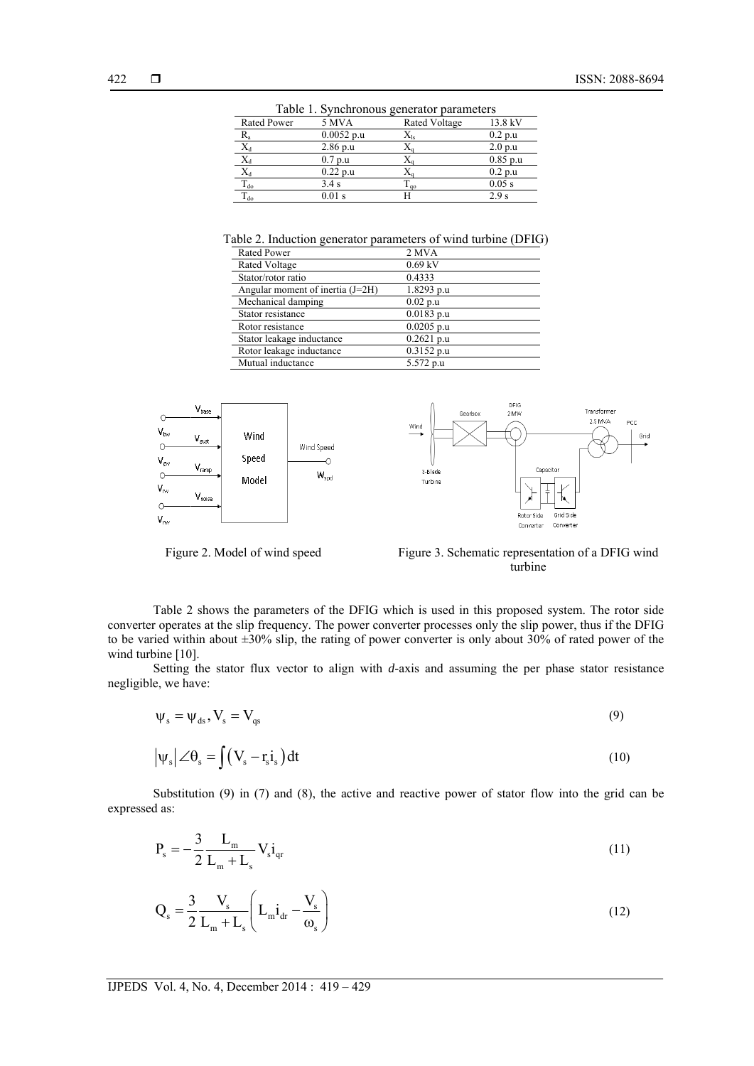| Table 1. Synchronous generator parameters |              |               |            |  |  |
|-------------------------------------------|--------------|---------------|------------|--|--|
| Rated Power                               | 5 MVA        | Rated Voltage | 13.8 kV    |  |  |
| R,                                        | $0.0052$ p.u | $X_{ls}$      | 0.2 p.u    |  |  |
| $\rm X_d$                                 | $2.86$ p.u   |               | 2.0 p.u    |  |  |
| $\overline{X_d}$                          | 0.7 p.u      |               | $0.85$ p.u |  |  |
| $X_d$                                     | $0.22$ p.u   |               | 0.2 p.u    |  |  |
| $T_{do}$                                  | 3.4 s        | $T_{q0}$      | $0.05$ s   |  |  |
| $T_{do}$                                  | $0.01$ s     | H             | 2.9s       |  |  |

Table 2. Induction generator parameters of wind turbine (DFIG)

| <b>Rated Power</b>               | 2 MVA        |
|----------------------------------|--------------|
| Rated Voltage                    | $0.69$ kV    |
| Stator/rotor ratio               | 0.4333       |
| Angular moment of inertia (J=2H) | 1.8293 p.u   |
| Mechanical damping               | $0.02$ p.u   |
| Stator resistance                | $0.0183$ p.u |
| Rotor resistance                 | $0.0205$ p.u |
| Stator leakage inductance        | $0.2621$ p.u |
| Rotor leakage inductance         | $0.3152$ p.u |
| Mutual inductance                | 5.572 p.u    |



Figure 2. Model of wind speed Figure 3. Schematic representation of a DFIG wind turbine

Table 2 shows the parameters of the DFIG which is used in this proposed system. The rotor side converter operates at the slip frequency. The power converter processes only the slip power, thus if the DFIG to be varied within about  $\pm 30\%$  slip, the rating of power converter is only about 30% of rated power of the wind turbine [10].

Setting the stator flux vector to align with *d*-axis and assuming the per phase stator resistance negligible, we have:

$$
\Psi_s = \Psi_{ds}, V_s = V_{qs}
$$
\n(9)

$$
\left|\psi_{s}\right| \angle \theta_{s} = \int \left(V_{s} - r_{s} i_{s}\right) dt
$$
\n(10)

Substitution (9) in (7) and (8), the active and reactive power of stator flow into the grid can be expressed as:

$$
P_s = -\frac{3}{2} \frac{L_m}{L_m + L_s} V_s i_{qr}
$$
 (11)

$$
Q_s = \frac{3}{2} \frac{V_s}{L_m + L_s} \left( L_m i_{dr} - \frac{V_s}{\omega_s} \right)
$$
 (12)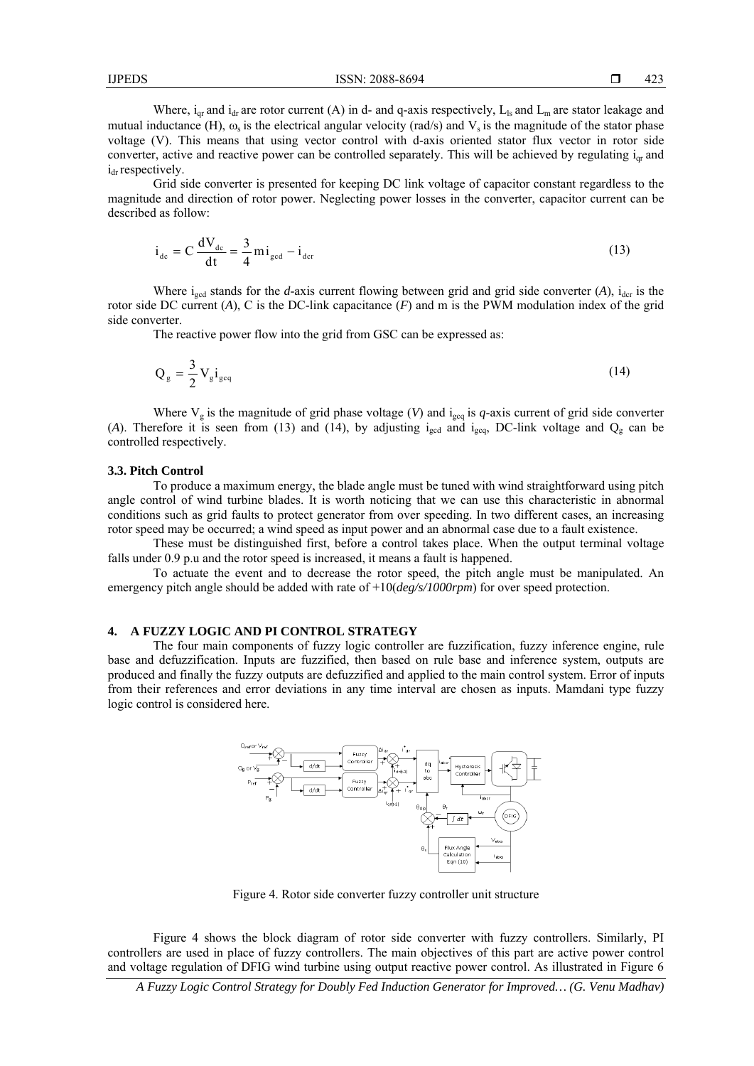Where,  $i_{qr}$  and  $i_{dr}$  are rotor current (A) in d- and q-axis respectively,  $L_{ls}$  and  $L_m$  are stator leakage and mutual inductance (H),  $\omega_s$  is the electrical angular velocity (rad/s) and  $V_s$  is the magnitude of the stator phase voltage (V). This means that using vector control with d-axis oriented stator flux vector in rotor side converter, active and reactive power can be controlled separately. This will be achieved by regulating  $i_{\alpha r}$  and  $i_{dr}$  respectively.

Grid side converter is presented for keeping DC link voltage of capacitor constant regardless to the magnitude and direction of rotor power. Neglecting power losses in the converter, capacitor current can be described as follow:

$$
i_{\text{dc}} = C \frac{dV_{\text{dc}}}{dt} = \frac{3}{4} m i_{\text{gcd}} - i_{\text{der}}
$$
 (13)

Where  $i_{\text{gcd}}$  stands for the *d*-axis current flowing between grid and grid side converter (*A*),  $i_{\text{der}}$  is the rotor side DC current (*A*), C is the DC-link capacitance (*F*) and m is the PWM modulation index of the grid side converter.

The reactive power flow into the grid from GSC can be expressed as:

$$
Q_g = \frac{3}{2} V_g i_{geq}
$$
 (14)

Where  $V_g$  is the magnitude of grid phase voltage (*V*) and  $i_{\text{geq}}$  is *q*-axis current of grid side converter (A). Therefore it is seen from (13) and (14), by adjusting  $i_{gcd}$  and  $i_{gcd}$ , DC-link voltage and  $Q<sub>g</sub>$  can be controlled respectively.

#### **3.3. Pitch Control**

To produce a maximum energy, the blade angle must be tuned with wind straightforward using pitch angle control of wind turbine blades. It is worth noticing that we can use this characteristic in abnormal conditions such as grid faults to protect generator from over speeding. In two different cases, an increasing rotor speed may be occurred; a wind speed as input power and an abnormal case due to a fault existence.

These must be distinguished first, before a control takes place. When the output terminal voltage falls under 0.9 p.u and the rotor speed is increased, it means a fault is happened.

To actuate the event and to decrease the rotor speed, the pitch angle must be manipulated. An emergency pitch angle should be added with rate of +10(*deg/s/1000rpm*) for over speed protection.

#### **4. A FUZZY LOGIC AND PI CONTROL STRATEGY**

The four main components of fuzzy logic controller are fuzzification, fuzzy inference engine, rule base and defuzzification. Inputs are fuzzified, then based on rule base and inference system, outputs are produced and finally the fuzzy outputs are defuzzified and applied to the main control system. Error of inputs from their references and error deviations in any time interval are chosen as inputs. Mamdani type fuzzy logic control is considered here.



Figure 4. Rotor side converter fuzzy controller unit structure

Figure 4 shows the block diagram of rotor side converter with fuzzy controllers. Similarly, PI controllers are used in place of fuzzy controllers. The main objectives of this part are active power control and voltage regulation of DFIG wind turbine using output reactive power control. As illustrated in Figure 6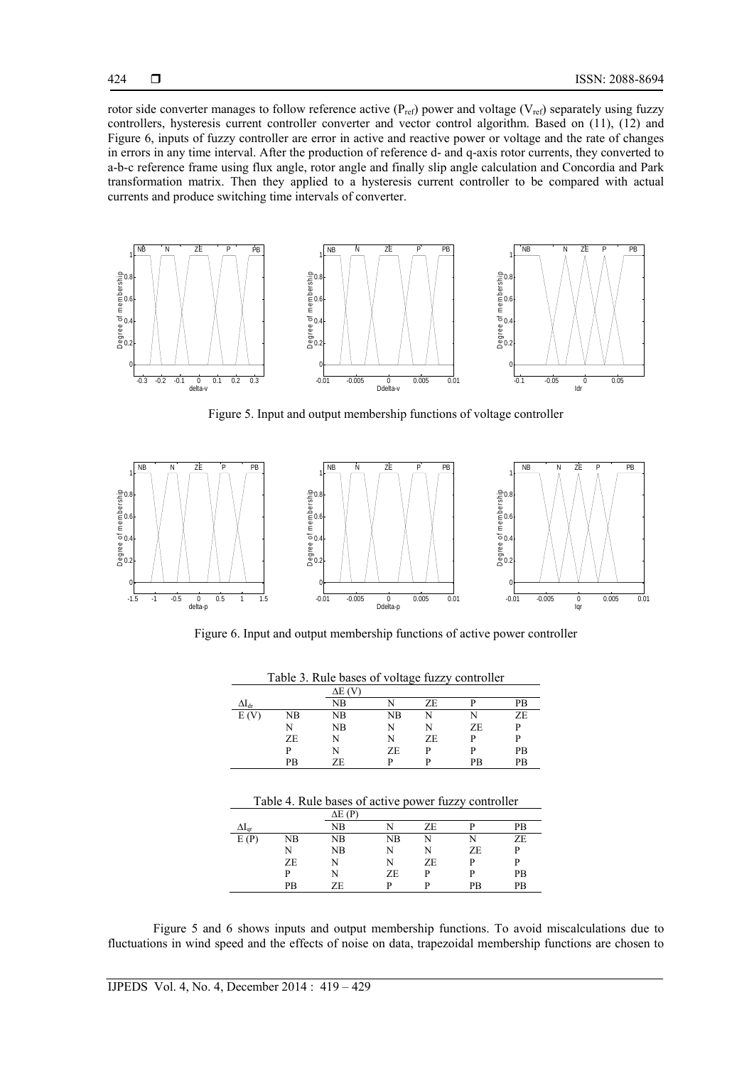rotor side converter manages to follow reference active  $(P_{ref})$  power and voltage ( $V_{ref}$ ) separately using fuzzy controllers, hysteresis current controller converter and vector control algorithm. Based on (11), (12) and Figure 6, inputs of fuzzy controller are error in active and reactive power or voltage and the rate of changes in errors in any time interval. After the production of reference d- and q-axis rotor currents, they converted to a-b-c reference frame using flux angle, rotor angle and finally slip angle calculation and Concordia and Park transformation matrix. Then they applied to a hysteresis current controller to be compared with actual currents and produce switching time intervals of converter.



Figure 5. Input and output membership functions of voltage controller



Figure 6. Input and output membership functions of active power controller

| Table 3. Rule bases of voltage fuzzy controller |     |     |     |     |     |    |
|-------------------------------------------------|-----|-----|-----|-----|-----|----|
|                                                 |     | ΔE  |     |     |     |    |
| $\Delta I_{\text{dr}}$                          |     | NΒ  |     | ZF. |     | РB |
| E (V                                            | NΒ  | NB. | NΒ  |     |     | ZE |
|                                                 |     | NB  |     |     | ZE. |    |
|                                                 | ZE. |     |     | ZE. |     |    |
|                                                 |     |     | ZF. |     |     | PB |
|                                                 | РB  | 7F. |     |     | PB  | PR |

|                        |    | ΔE (P |    |    |    |    |
|------------------------|----|-------|----|----|----|----|
| $\Delta I_{\text{qr}}$ |    | NΒ    |    | ΖE |    | PВ |
| E(P)                   | NB | NB    | NB |    |    | ZE |
|                        | N  | NB    | N  |    | ZE | D  |
|                        | ZE |       | N  | ZE | Þ  | Þ  |
|                        | D  | N     | ZE | Þ  | p  | PB |
|                        | PB | ZF.   | D  |    | PB | PB |
|                        |    |       |    |    |    |    |

Figure 5 and 6 shows inputs and output membership functions. To avoid miscalculations due to fluctuations in wind speed and the effects of noise on data, trapezoidal membership functions are chosen to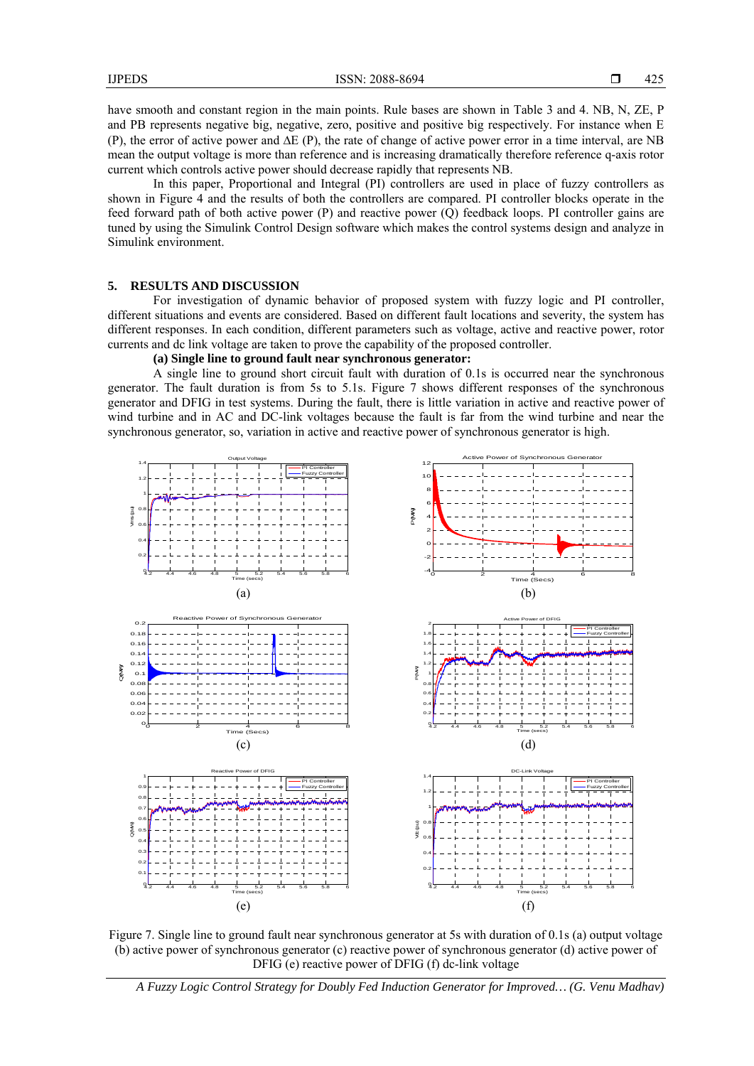have smooth and constant region in the main points. Rule bases are shown in Table 3 and 4. NB, N, ZE, P and PB represents negative big, negative, zero, positive and positive big respectively. For instance when E (P), the error of active power and  $\Delta E$  (P), the rate of change of active power error in a time interval, are NB mean the output voltage is more than reference and is increasing dramatically therefore reference q-axis rotor current which controls active power should decrease rapidly that represents NB.

In this paper, Proportional and Integral (PI) controllers are used in place of fuzzy controllers as shown in Figure 4 and the results of both the controllers are compared. PI controller blocks operate in the feed forward path of both active power (P) and reactive power (Q) feedback loops. PI controller gains are tuned by using the Simulink Control Design software which makes the control systems design and analyze in Simulink environment.

# **5. RESULTS AND DISCUSSION**

For investigation of dynamic behavior of proposed system with fuzzy logic and PI controller, different situations and events are considered. Based on different fault locations and severity, the system has different responses. In each condition, different parameters such as voltage, active and reactive power, rotor currents and dc link voltage are taken to prove the capability of the proposed controller.

**(a) Single line to ground fault near synchronous generator:** 

A single line to ground short circuit fault with duration of 0.1s is occurred near the synchronous generator. The fault duration is from 5s to 5.1s. Figure 7 shows different responses of the synchronous generator and DFIG in test systems. During the fault, there is little variation in active and reactive power of wind turbine and in AC and DC-link voltages because the fault is far from the wind turbine and near the synchronous generator, so, variation in active and reactive power of synchronous generator is high.



Figure 7. Single line to ground fault near synchronous generator at 5s with duration of 0.1s (a) output voltage (b) active power of synchronous generator (c) reactive power of synchronous generator (d) active power of DFIG (e) reactive power of DFIG (f) dc-link voltage

*A Fuzzy Logic Control Strategy for Doubly Fed Induction Generator for Improved… (G. Venu Madhav)*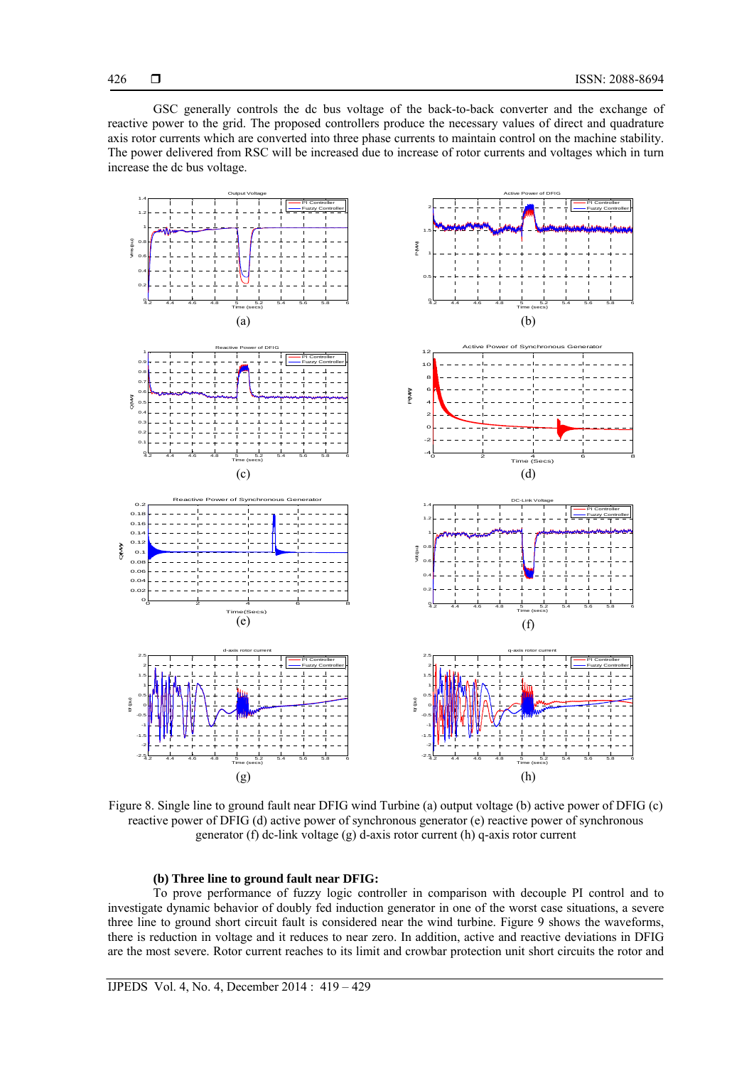426

GSC generally controls the dc bus voltage of the back-to-back converter and the exchange of reactive power to the grid. The proposed controllers produce the necessary values of direct and quadrature axis rotor currents which are converted into three phase currents to maintain control on the machine stability. The power delivered from RSC will be increased due to increase of rotor currents and voltages which in turn increase the dc bus voltage.



Figure 8. Single line to ground fault near DFIG wind Turbine (a) output voltage (b) active power of DFIG (c) reactive power of DFIG (d) active power of synchronous generator (e) reactive power of synchronous generator (f) dc-link voltage (g) d-axis rotor current (h) q-axis rotor current

## **(b) Three line to ground fault near DFIG:**

To prove performance of fuzzy logic controller in comparison with decouple PI control and to investigate dynamic behavior of doubly fed induction generator in one of the worst case situations, a severe three line to ground short circuit fault is considered near the wind turbine. Figure 9 shows the waveforms, there is reduction in voltage and it reduces to near zero. In addition, active and reactive deviations in DFIG are the most severe. Rotor current reaches to its limit and crowbar protection unit short circuits the rotor and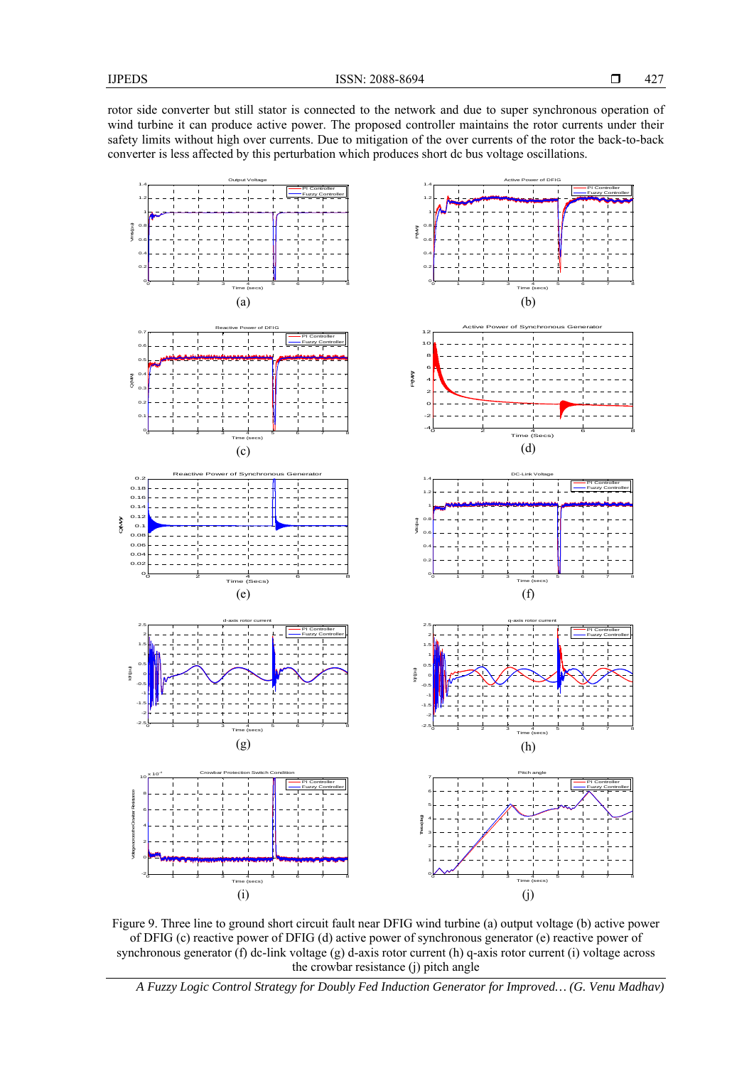rotor side converter but still stator is connected to the network and due to super synchronous operation of wind turbine it can produce active power. The proposed controller maintains the rotor currents under their safety limits without high over currents. Due to mitigation of the over currents of the rotor the back-to-back converter is less affected by this perturbation which produces short dc bus voltage oscillations.



Figure 9. Three line to ground short circuit fault near DFIG wind turbine (a) output voltage (b) active power of DFIG (c) reactive power of DFIG (d) active power of synchronous generator (e) reactive power of synchronous generator (f) dc-link voltage (g) d-axis rotor current (h) q-axis rotor current (i) voltage across the crowbar resistance (j) pitch angle

*A Fuzzy Logic Control Strategy for Doubly Fed Induction Generator for Improved… (G. Venu Madhav)*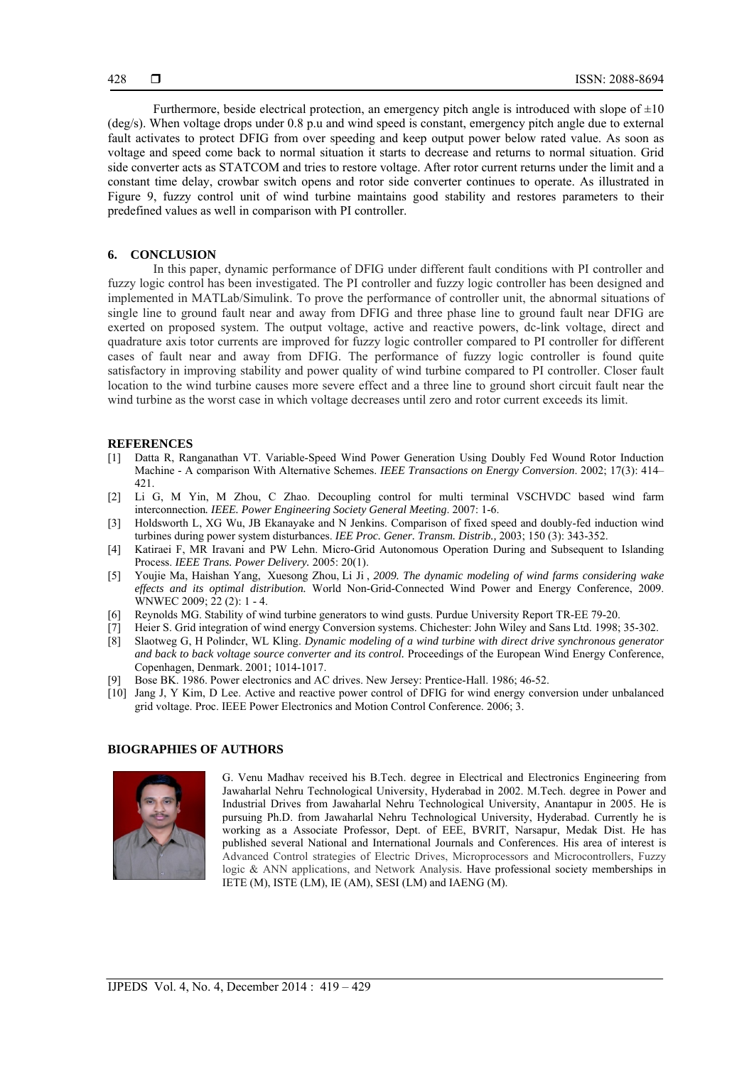Furthermore, beside electrical protection, an emergency pitch angle is introduced with slope of  $\pm 10$ (deg/s). When voltage drops under 0.8 p.u and wind speed is constant, emergency pitch angle due to external fault activates to protect DFIG from over speeding and keep output power below rated value. As soon as voltage and speed come back to normal situation it starts to decrease and returns to normal situation. Grid side converter acts as STATCOM and tries to restore voltage. After rotor current returns under the limit and a constant time delay, crowbar switch opens and rotor side converter continues to operate. As illustrated in Figure 9, fuzzy control unit of wind turbine maintains good stability and restores parameters to their predefined values as well in comparison with PI controller.

## **6. CONCLUSION**

In this paper, dynamic performance of DFIG under different fault conditions with PI controller and fuzzy logic control has been investigated. The PI controller and fuzzy logic controller has been designed and implemented in MATLab/Simulink. To prove the performance of controller unit, the abnormal situations of single line to ground fault near and away from DFIG and three phase line to ground fault near DFIG are exerted on proposed system. The output voltage, active and reactive powers, dc-link voltage, direct and quadrature axis totor currents are improved for fuzzy logic controller compared to PI controller for different cases of fault near and away from DFIG. The performance of fuzzy logic controller is found quite satisfactory in improving stability and power quality of wind turbine compared to PI controller. Closer fault location to the wind turbine causes more severe effect and a three line to ground short circuit fault near the wind turbine as the worst case in which voltage decreases until zero and rotor current exceeds its limit.

#### **REFERENCES**

- [1] Datta R, Ranganathan VT. Variable-Speed Wind Power Generation Using Doubly Fed Wound Rotor Induction Machine - A comparison With Alternative Schemes. *IEEE Transactions on Energy Conversion*. 2002; 17(3): 414– 421.
- [2] Li G, M Yin, M Zhou, C Zhao. Decoupling control for multi terminal VSCHVDC based wind farm interconnection*. IEEE. Power Engineering Society General Meeting*. 2007: 1-6.
- [3] Holdsworth L, XG Wu, JB Ekanayake and N Jenkins. Comparison of fixed speed and doubly-fed induction wind turbines during power system disturbances. *IEE Proc. Gener. Transm. Distrib.,* 2003; 150 (3): 343-352.
- [4] Katiraei F, MR Iravani and PW Lehn. Micro-Grid Autonomous Operation During and Subsequent to Islanding Process. *IEEE Trans. Power Delivery.* 2005: 20(1).
- [5] Youjie Ma, Haishan Yang, Xuesong Zhou, Li Ji , *2009. The dynamic modeling of wind farms considering wake effects and its optimal distribution.* World Non-Grid-Connected Wind Power and Energy Conference, 2009. WNWEC 2009; 22 (2): 1 - 4.
- [6] Reynolds MG. Stability of wind turbine generators to wind gusts. Purdue University Report TR-EE 79-20.
- [7] Heier S. Grid integration of wind energy Conversion systems. Chichester: John Wiley and Sans Ltd. 1998; 35-302.
- [8] Slaotweg G, H Polindcr, WL Kling. *Dynamic modeling of a wind turbine with direct drive synchronous generator and back to back voltage source converter and its control.* Proceedings of the European Wind Energy Conference, Copenhagen, Denmark. 2001; 1014-1017.
- Bose BK. 1986. Power electronics and AC drives. New Jersey: Prentice-Hall. 1986; 46-52.
- [10] Jang J, Y Kim, D Lee. Active and reactive power control of DFIG for wind energy conversion under unbalanced grid voltage. Proc. IEEE Power Electronics and Motion Control Conference. 2006; 3.

#### **BIOGRAPHIES OF AUTHORS**



G. Venu Madhav received his B.Tech. degree in Electrical and Electronics Engineering from Jawaharlal Nehru Technological University, Hyderabad in 2002. M.Tech. degree in Power and Industrial Drives from Jawaharlal Nehru Technological University, Anantapur in 2005. He is pursuing Ph.D. from Jawaharlal Nehru Technological University, Hyderabad. Currently he is working as a Associate Professor, Dept. of EEE, BVRIT, Narsapur, Medak Dist. He has published several National and International Journals and Conferences. His area of interest is Advanced Control strategies of Electric Drives, Microprocessors and Microcontrollers, Fuzzy logic & ANN applications, and Network Analysis. Have professional society memberships in IETE (M), ISTE (LM), IE (AM), SESI (LM) and IAENG (M).